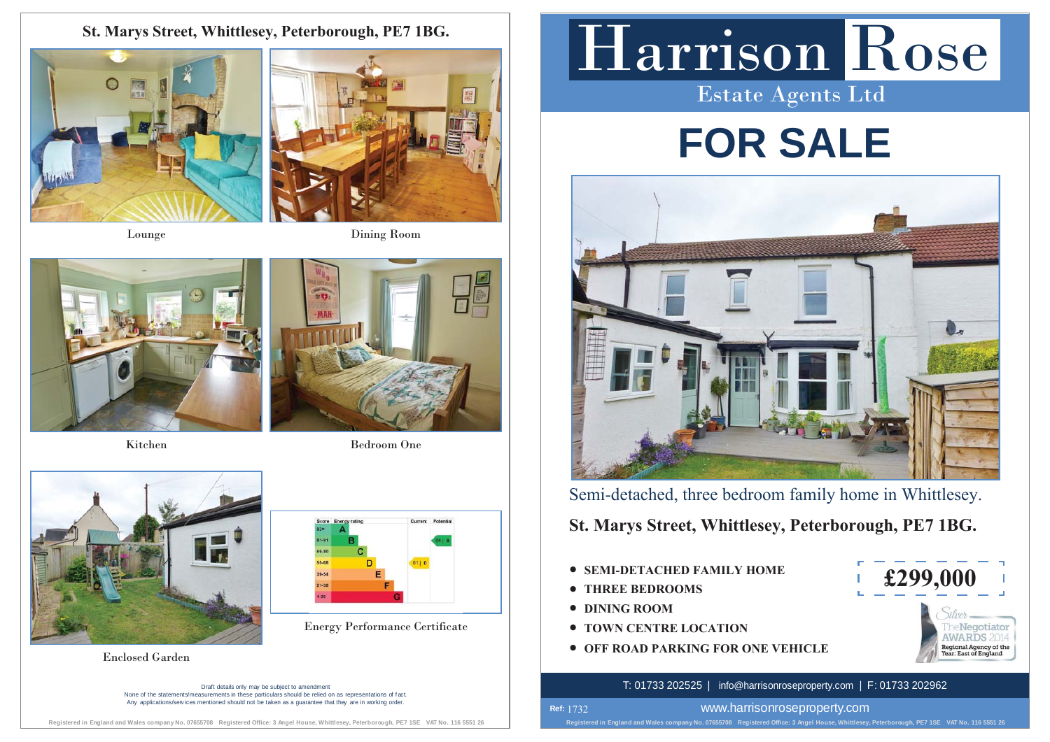### **St. Marys Street, Whittlesey, Peterborough, PE7 1BG.**







Kitchen



Bedroom One



Draft details only may be subject to amendment None of the statements/measurements in these particulars should be relied on as representations of f act. Any applications/services mentioned should not be taken as a quarantee that they are in working order

#### **Registered in England and Wales company No. 07655708 Registered Office: 3 Angel House, Whittlesey, Peterborough, PE7 1SE VAT No. 116 5551 26**

# Harrison Rose Estate Agents Ltd

# **FOR SALE**



Semi-detached, three bedroom family home in Whittlesey.

**St. Marys Street, Whittlesey, Peterborough, PE7 1BG.**

- **SEMI-DETACHED FAMILY HOME**
- **THREE BEDROOMS**
- **DINING ROOM**

**Ref:**  1732

- t Energy Performance Certificate **TOWN CENTRE LOCATION**
- $\bullet$  **OFF ROAD PARKING FOR ONE VEHICLE** Enclosed Garden and the contract of the contract of the contract of the contract of the contract of the contract of the contract of the contract of the contract of the contract of the contract of the contract of the contra



#### T: 01733 202525 | info@harrisonroseproperty.com | F: 01733 202962

www.harrisonroseproperty.com

**Registered in England and Wales company No. 07655708 Registered Office: 3 Angel House, Whittlesey, Peterborough, PE7 1SE VAT No. 116 5551 26**